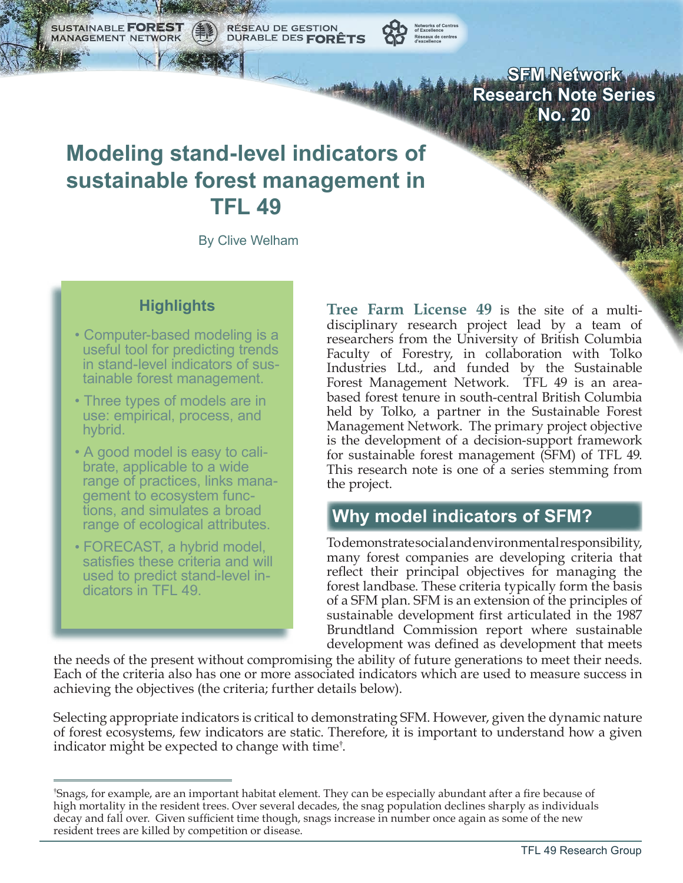RÉSEAU DE GESTION<br>DURABLE DES **FORÊTS** SUSTAINABLE **FORE MANAGEMENT NETWORK** 



**SFM Network Research Note Series No. 20**

# **Modeling stand-level indicators of sustainable forest management in TFL 49**

By Clive Welham

#### **Highlights**

- Computer-based modeling is a useful tool for predicting trends in stand-level indicators of sus tainable forest management.
- Three types of models are in use: empirical, process, and hybrid.
- A good model is easy to cali brate, applicable to a wide range of practices, links mana gement to ecosystem func tions, and simulates a broad range of ecological attributes.
- FORECAST, a hybrid model, satisfies these criteria and will used to predict stand-level in dicators in TFL 49.

**Tree Farm License 49** is the site of a multidisciplinary research project lead by a team of researchers from the University of British Columbia Faculty of Forestry, in collaboration with Tolko Industries Ltd., and funded by the Sustainable Forest Management Network. TFL 49 is an areabased forest tenure in south-central British Columbia held by Tolko, a partner in the Sustainable Forest Management Network. The primary project objective is the development of a decision-support framework for sustainable forest management (SFM) of TFL 49. This research note is one of a series stemming from the project.

# **Why model indicators of SFM?**

To demonstrate social and environmental responsibility, many forest companies are developing criteria that reflect their principal objectives for managing the forest landbase. These criteria typically form the basis of a SFM plan. SFM is an extension of the principles of sustainable development first articulated in the 1987 Brundtland Commission report where sustainable development was defined as development that meets

the needs of the present without compromising the ability of future generations to meet their needs. Each of the criteria also has one or more associated indicators which are used to measure success in achieving the objectives (the criteria; further details below).

Selecting appropriate indicators is critical to demonstrating SFM. However, given the dynamic nature of forest ecosystems, few indicators are static. Therefore, it is important to understand how a given indicator might be expected to change with time† .

<sup>†</sup> Snags, for example, are an important habitat element. They can be especially abundant after a fire because of high mortality in the resident trees. Over several decades, the snag population declines sharply as individuals decay and fall over. Given sufficient time though, snags increase in number once again as some of the new resident trees are killed by competition or disease.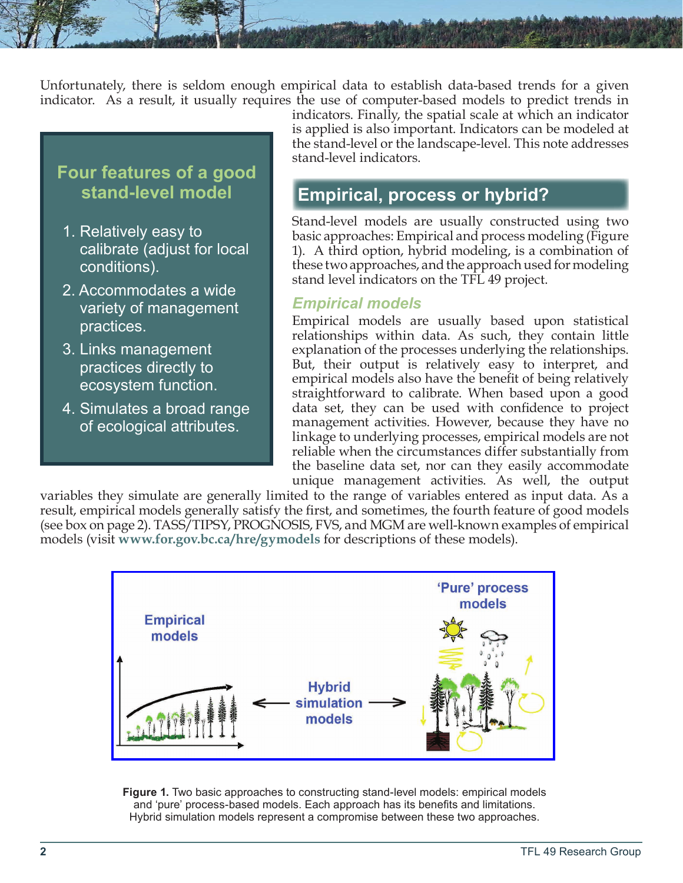Unfortunately, there is seldom enough empirical data to establish data-based trends for a given indicator. As a result, it usually requires the use of computer-based models to predict trends in

### **Four features of a good stand-level model**

- 1. Relatively easy to calibrate (adjust for local conditions).
- 2. Accommodates a wide variety of management practices.
- 3. Links management practices directly to ecosystem function.
- 4. Simulates a broad range of ecological attributes.

indicators. Finally, the spatial scale at which an indicator is applied is also important. Indicators can be modeled at the stand-level or the landscape-level. This note addresses stand-level indicators.

### **Empirical, process or hybrid?**

Stand-level models are usually constructed using two basic approaches: Empirical and process modeling (Figure 1). A third option, hybrid modeling, is a combination of these two approaches, and the approach used for modeling stand level indicators on the TFL 49 project.

#### *Empirical models*

Empirical models are usually based upon statistical relationships within data. As such, they contain little explanation of the processes underlying the relationships. But, their output is relatively easy to interpret, and empirical models also have the benefit of being relatively straightforward to calibrate. When based upon a good data set, they can be used with confidence to project management activities. However, because they have no linkage to underlying processes, empirical models are not reliable when the circumstances differ substantially from the baseline data set, nor can they easily accommodate unique management activities. As well, the output

variables they simulate are generally limited to the range of variables entered as input data. As a result, empirical models generally satisfy the first, and sometimes, the fourth feature of good models (see box on page 2). TASS/TIPSY, PROGNOSIS, FVS, and MGM are well-known examples of empirical models (visit **<www.for.gov.bc.ca/hre/gymodels>** for descriptions of these models).



**Figure 1.** Two basic approaches to constructing stand-level models: empirical models and 'pure' process-based models. Each approach has its benefits and limitations. Hybrid simulation models represent a compromise between these two approaches.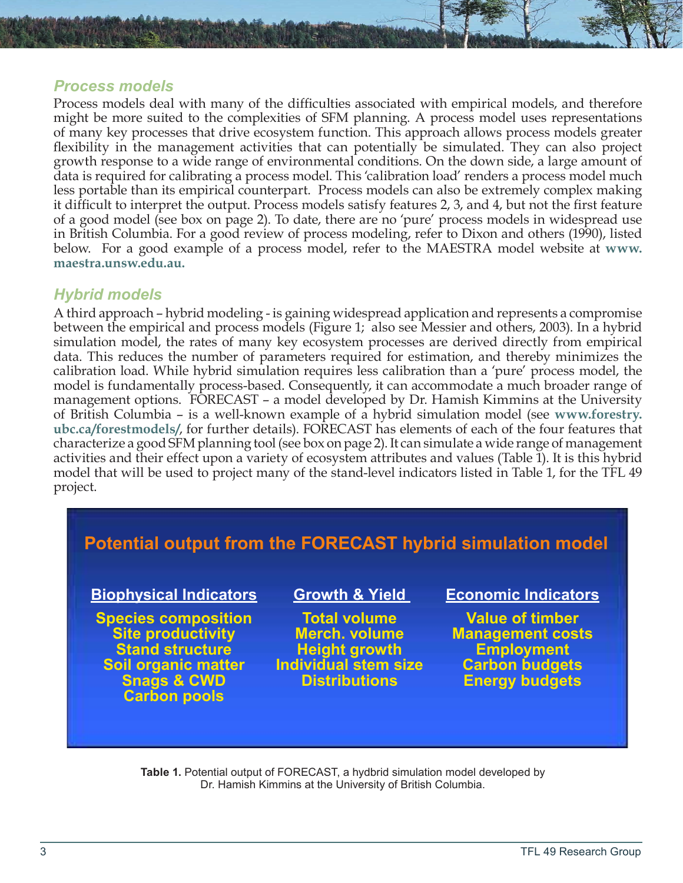#### *Process models*

Process models deal with many of the difficulties associated with empirical models, and therefore might be more suited to the complexities of SFM planning. A process model uses representations of many key processes that drive ecosystem function. This approach allows process models greater flexibility in the management activities that can potentially be simulated. They can also project growth response to a wide range of environmental conditions. On the down side, a large amount of data is required for calibrating a process model. This 'calibration load' renders a process model much less portable than its empirical counterpart. Process models can also be extremely complex making it difficult to interpret the output. Process models satisfy features 2, 3, and 4, but not the first feature of a good model (see box on page 2). To date, there are no 'pure' process models in widespread use in British Columbia. For a good review of process modeling, refer to Dixon and others (1990), listed below. For a good example of a process model, refer to the MAESTRA model website at **[www.](www.maestra.unsw.edu.au) [maestra.unsw.edu.au.](www.maestra.unsw.edu.au)**

#### *Hybrid models*

A third approach – hybrid modeling - is gaining widespread application and represents a compromise between the empirical and process models (Figure 1; also see Messier and others, 2003). In a hybrid simulation model, the rates of many key ecosystem processes are derived directly from empirical data. This reduces the number of parameters required for estimation, and thereby minimizes the calibration load. While hybrid simulation requires less calibration than a 'pure' process model, the model is fundamentally process-based. Consequently, it can accommodate a much broader range of management options. FORECAST – a model developed by Dr. Hamish Kimmins at the University of British Columbia – is a well-known example of a hybrid simulation model (see **[www.forestry.](www.forestry.ubc.ca/forestmodels/) [ubc.ca/forestmodels/](www.forestry.ubc.ca/forestmodels/)**, for further details). FORECAST has elements of each of the four features that characterize a good SFM planning tool (see box on page 2). It can simulate a wide range of management activities and their effect upon a variety of ecosystem attributes and values (Table 1). It is this hybrid model that will be used to project many of the stand-level indicators listed in Table 1, for the TFL 49 project.

# **Potential output from the FORECAST hybrid simulation model**

### **Biophysical Indicators**

**Species composition Site productivity Stand structure Soil organic matter Snags & CWD Carbon pools**

#### **Growth & Yield**

**Total volume Merch. volume Height growth Individual stem size Distributions**

#### **Economic Indicators**

**Value of timber Management costs Employment Carbon budgets Energy budgets**

**Table 1.** Potential output of FORECAST, a hydbrid simulation model developed by Dr. Hamish Kimmins at the University of British Columbia.